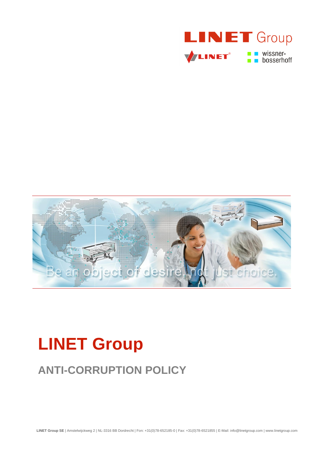



# **LINET Group**

# **ANTI-CORRUPTION POLICY**

**LINET Group SE** | Amstelwijckweg 2 | NL-3316 BB Dordrecht | Fon: +31(0)78-652185-0 | Fax: +31(0)78-6521855 | E-Mail: info@linetgroup.com | www.linetgroup.com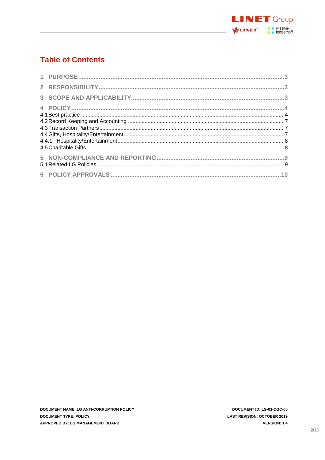

# **Table of Contents**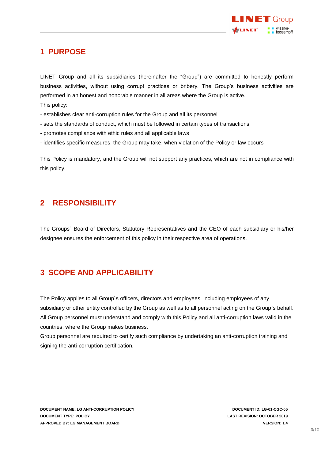

## <span id="page-2-0"></span>**1 PURPOSE**

LINET Group and all its subsidiaries (hereinafter the "Group") are committed to honestly perform business activities, without using corrupt practices or bribery. The Group's business activities are performed in an honest and honorable manner in all areas where the Group is active. This policy:

- establishes clear anti-corruption rules for the Group and all its personnel
- sets the standards of conduct, which must be followed in certain types of transactions
- promotes compliance with ethic rules and all applicable laws
- identifies specific measures, the Group may take, when violation of the Policy or law occurs

<span id="page-2-1"></span>This Policy is mandatory, and the Group will not support any practices, which are not in compliance with this policy.

### **2 RESPONSIBILITY**

<span id="page-2-2"></span>The Groups` Board of Directors, Statutory Representatives and the CEO of each subsidiary or his/her designee ensures the enforcement of this policy in their respective area of operations.

# **3 SCOPE AND APPLICABILITY**

The Policy applies to all Group`s officers, directors and employees, including employees of any subsidiary or other entity controlled by the Group as well as to all personnel acting on the Group`s behalf. All Group personnel must understand and comply with this Policy and all anti-corruption laws valid in the countries, where the Group makes business.

Group personnel are required to certify such compliance by undertaking an anti-corruption training and signing the anti-corruption certification.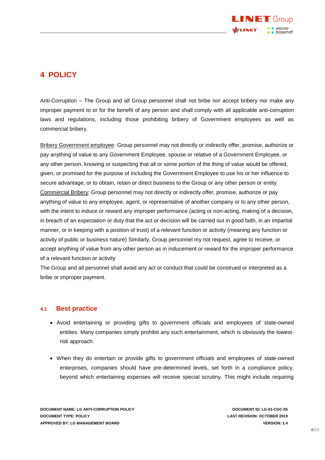

# <span id="page-3-0"></span>**4 POLICY**

Anti-Corruption – The Group and all Group personnel shall not bribe nor accept bribery nor make any improper payment to or for the benefit of any person and shall comply with all applicable anti-corruption laws and regulations, including those prohibiting bribery of Government employees as well as commercial bribery.

Bribery Government employee: Group personnel may not directly or indirectly offer, promise, authorize or pay anything of value to any Government Employee, spouse or relative of a Government Employee, or any other person, knowing or suspecting that all or some portion of the thing of value would be offered, given, or promised for the purpose of including the Government Employee to use his or her influence to secure advantage, or to obtain, retain or direct business to the Group or any other person or entity Commercial Bribery: Group personnel may not directly or indirectly offer, promise, authorize or pay anything of value to any employee, agent, or representative of another company or to any other person, with the intent to induce or reward any improper performance (acting or non-acting, making of a decision, in breach of an expectation or duty that the act or decision will be carried out in good faith, in an impartial manner, or in keeping with a position of trust) of a relevant function or activity (meaning any function or activity of public or business nature) Similarly, Group personnel my not request, agree to receive, or accept anything of value from any other person as in inducement or reward for the improper performance of a relevant function or activity

The Group and all personnel shall avoid any act or conduct that could be construed or interpreted as a bribe or improper payment.

#### <span id="page-3-1"></span>**4.1 Best practice**

- Avoid entertaining or providing gifts to government officials and employees of state-owned entities. Many companies simply prohibit any such entertainment, which is obviously the lowestrisk approach.
- When they do entertain or provide gifts to government officials and employees of state-owned enterprises, companies should have pre-determined levels, set forth in a compliance policy, beyond which entertaining expenses will receive special scrutiny. This might include requiring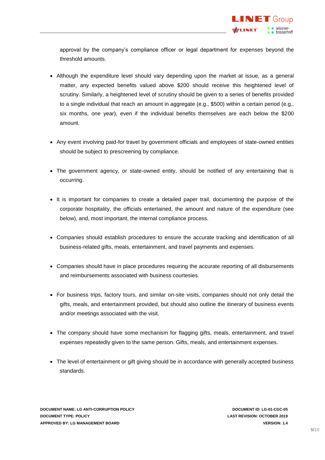approval by the company's compliance officer or legal department for expenses beyond the threshold amounts.

- Although the expenditure level should vary depending upon the market at issue, as a general matter, any expected benefits valued above \$200 should receive this heightened level of scrutiny. Similarly, a heightened level of scrutiny should be given to a series of benefits provided to a single individual that reach an amount in aggregate (e.g., \$500) within a certain period (e.g., six months, one year), even if the individual benefits themselves are each below the \$200 amount.
- Any event involving paid-for travel by government officials and employees of state-owned entities should be subject to prescreening by compliance.
- The government agency, or state-owned entity, should be notified of any entertaining that is occurring.
- It is important for companies to create a detailed paper trail, documenting the purpose of the corporate hospitality, the officials entertained, the amount and nature of the expenditure (see below), and, most important, the internal compliance process.
- Companies should establish procedures to ensure the accurate tracking and identification of all business-related gifts, meals, entertainment, and travel payments and expenses.
- Companies should have in place procedures requiring the accurate reporting of all disbursements and reimbursements associated with business courtesies.
- For business trips, factory tours, and similar on-site visits, companies should not only detail the gifts, meals, and entertainment provided, but should also outline the itinerary of business events and/or meetings associated with the visit.
- The company should have some mechanism for flagging gifts, meals, entertainment, and travel expenses repeatedly given to the same person. Gifts, meals, and entertainment expenses.
- The level of entertainment or gift giving should be in accordance with generally accepted business standards.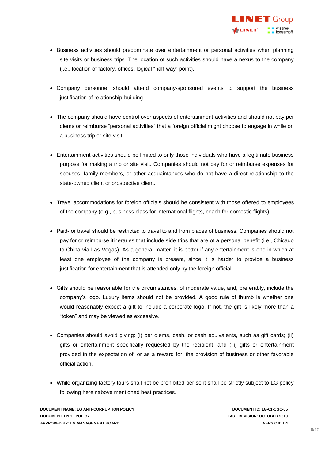- Business activities should predominate over entertainment or personal activities when planning site visits or business trips. The location of such activities should have a nexus to the company (i.e., location of factory, offices, logical "half-way" point).
- Company personnel should attend company-sponsored events to support the business justification of relationship-building.
- The company should have control over aspects of entertainment activities and should not pay per diems or reimburse "personal activities" that a foreign official might choose to engage in while on a business trip or site visit.
- Entertainment activities should be limited to only those individuals who have a legitimate business purpose for making a trip or site visit. Companies should not pay for or reimburse expenses for spouses, family members, or other acquaintances who do not have a direct relationship to the state-owned client or prospective client.
- Travel accommodations for foreign officials should be consistent with those offered to employees of the company (e.g., business class for international flights, coach for domestic flights).
- Paid-for travel should be restricted to travel to and from places of business. Companies should not pay for or reimburse itineraries that include side trips that are of a personal benefit (i.e., Chicago to China via Las Vegas). As a general matter, it is better if any entertainment is one in which at least one employee of the company is present, since it is harder to provide a business justification for entertainment that is attended only by the foreign official.
- Gifts should be reasonable for the circumstances, of moderate value, and, preferably, include the company's logo. Luxury items should not be provided. A good rule of thumb is whether one would reasonably expect a gift to include a corporate logo. If not, the gift is likely more than a "token" and may be viewed as excessive.
- Companies should avoid giving: (i) per diems, cash, or cash equivalents, such as gift cards; (ii) gifts or entertainment specifically requested by the recipient; and (iii) gifts or entertainment provided in the expectation of, or as a reward for, the provision of business or other favorable official action.
- While organizing factory tours shall not be prohibited per se it shall be strictly subject to LG policy following hereinabove mentioned best practices.

**DOCUMENT NAME: LG ANTI-CORRUPTION POLICY DOCUMENT ID: LG-01-CGC-05 DOCUMENT TYPE: POLICY LAST REVISION: OCTOBER 2019 APPROVED BY: LG MANAGEMENT BOARD VERSION: 1.4**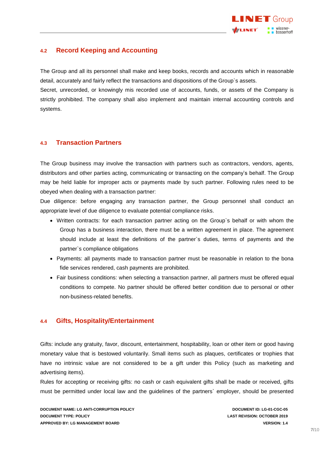

#### <span id="page-6-0"></span>**4.2 Record Keeping and Accounting**

The Group and all its personnel shall make and keep books, records and accounts which in reasonable detail, accurately and fairly reflect the transactions and dispositions of the Group`s assets.

Secret, unrecorded, or knowingly mis recorded use of accounts, funds, or assets of the Company is strictly prohibited. The company shall also implement and maintain internal accounting controls and systems.

#### <span id="page-6-1"></span>**4.3 Transaction Partners**

The Group business may involve the transaction with partners such as contractors, vendors, agents, distributors and other parties acting, communicating or transacting on the company's behalf. The Group may be held liable for improper acts or payments made by such partner. Following rules need to be obeyed when dealing with a transaction partner:

Due diligence: before engaging any transaction partner, the Group personnel shall conduct an appropriate level of due diligence to evaluate potential compliance risks.

- Written contracts: for each transaction partner acting on the Group`s behalf or with whom the Group has a business interaction, there must be a written agreement in place. The agreement should include at least the definitions of the partner`s duties, terms of payments and the partner`s compliance obligations
- Payments: all payments made to transaction partner must be reasonable in relation to the bona fide services rendered, cash payments are prohibited.
- Fair business conditions: when selecting a transaction partner, all partners must be offered equal conditions to compete. No partner should be offered better condition due to personal or other non-business-related benefits.

#### <span id="page-6-2"></span>**4.4 Gifts, Hospitality/Entertainment**

Gifts: include any gratuity, favor, discount, entertainment, hospitability, loan or other item or good having monetary value that is bestowed voluntarily. Small items such as plaques, certificates or trophies that have no intrinsic value are not considered to be a gift under this Policy (such as marketing and advertising items).

Rules for accepting or receiving gifts: no cash or cash equivalent gifts shall be made or received, gifts must be permitted under local law and the guidelines of the partners` employer, should be presented

**DOCUMENT NAME: LG ANTI-CORRUPTION POLICY DOCUMENT ID: LG-01-CGC-05 DOCUMENT TYPE: POLICY LAST REVISION: OCTOBER 2019 APPROVED BY: LG MANAGEMENT BOARD VERSION: 1.4**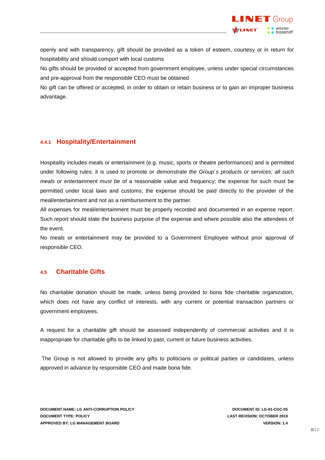

openly and with transparency, gift should be provided as a token of esteem, courtesy or in return for hospitability and should comport with local customs

No gifts should be provided or accepted from government employee, unless under special circumstances and pre-approval from the responsible CEO must be obtained

No gift can be offered or accepted, in order to obtain or retain business or to gain an improper business advantage.

#### <span id="page-7-0"></span>**4.4.1 Hospitality/Entertainment**

Hospitality includes meals or entertainment (e.g. music, sports or theatre performances) and is permitted under following rules: it is used to promote or *demonstrate the Group`s products or services; all such meals or entertainment must be* of a reasonable value and frequency; the expense for such must be permitted under local laws and customs; the expense should be paid directly to the provider of the meal/entertainment and not as a reimbursement to the partner.

All expenses for meal/entertainment must be properly recorded and documented in an expense report. Such report should state the business purpose of the expense and where possible also the attendees of the event.

No meals or entertainment may be provided to a Government Employee without prior approval of responsible CEO.

#### <span id="page-7-1"></span>**4.5 Charitable Gifts**

No charitable donation should be made, unless being provided to bona fide charitable organization, which does not have any conflict of interests, with any current or potential transaction partners or government employees.

A request for a charitable gift should be assessed independently of commercial activities and it is inappropriate for charitable gifts to be linked to past, current or future business activities.

The Group is not allowed to provide any gifts to politicians or political parties or candidates, unless approved in advance by responsible CEO and made bona fide.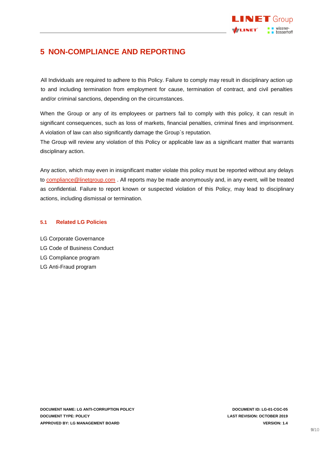

# <span id="page-8-0"></span>**5 NON-COMPLIANCE AND REPORTING**

All Individuals are required to adhere to this Policy. Failure to comply may result in disciplinary action up to and including termination from employment for cause, termination of contract, and civil penalties and/or criminal sanctions, depending on the circumstances.

When the Group or any of its employees or partners fail to comply with this policy, it can result in significant consequences, such as loss of markets, financial penalties, criminal fines and imprisonment. A violation of law can also significantly damage the Group`s reputation.

The Group will review any violation of this Policy or applicable law as a significant matter that warrants disciplinary action.

Any action, which may even in insignificant matter violate this policy must be reported without any delays to [compliance@linetgroup.com](mailto:compliance@linetgroup.com). All reports may be made anonymously and, in any event, will be treated as confidential. Failure to report known or suspected violation of this Policy, may lead to disciplinary actions, including dismissal or termination.

#### <span id="page-8-1"></span>**5.1 Related LG Policies**

LG Corporate Governance LG Code of Business Conduct LG Compliance program LG Anti-Fraud program